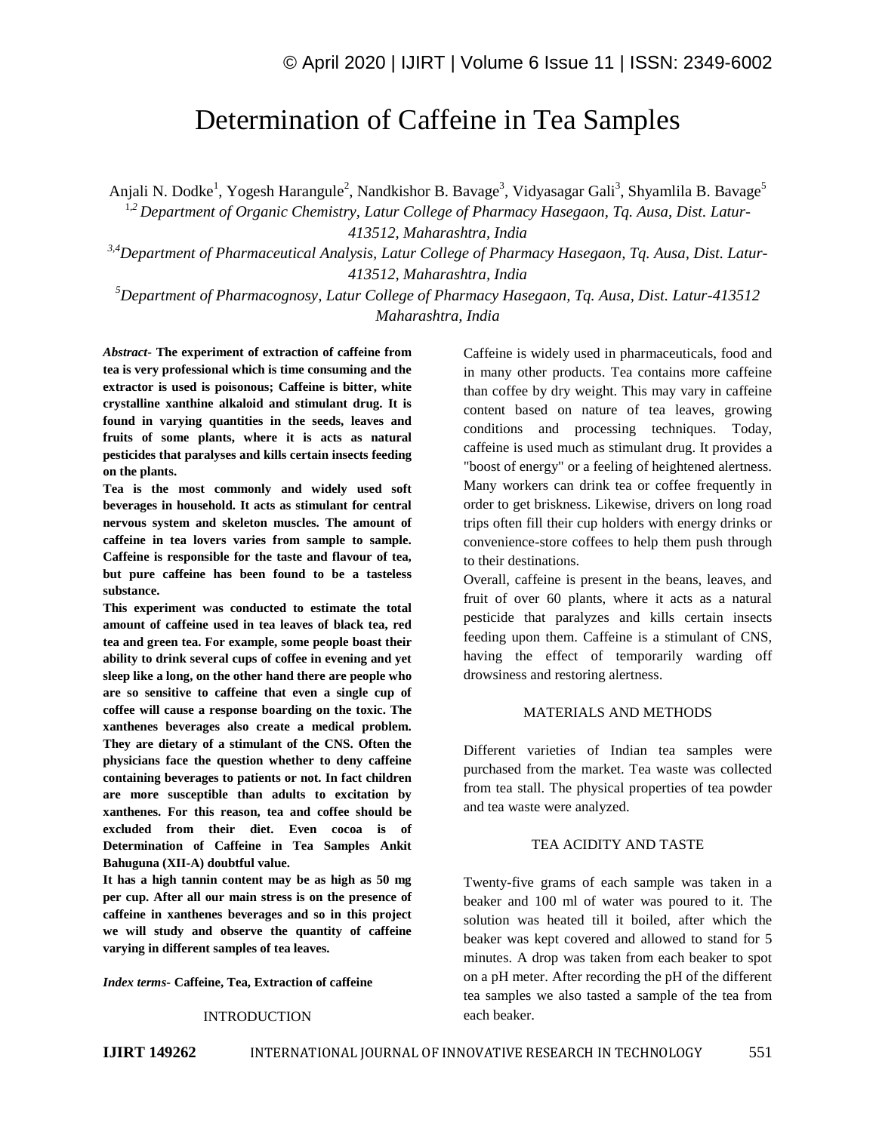# Determination of Caffeine in Tea Samples

Anjali N. Dodke<sup>1</sup>, Yogesh Harangule<sup>2</sup>, Nandkishor B. Bavage<sup>3</sup>, Vidyasagar Gali<sup>3</sup>, Shyamlila B. Bavage<sup>5</sup>

<sup>1</sup>*,2 Department of Organic Chemistry, Latur College of Pharmacy Hasegaon, Tq. Ausa, Dist. Latur-*

*413512, Maharashtra, India*

*3,4Department of Pharmaceutical Analysis, Latur College of Pharmacy Hasegaon, Tq. Ausa, Dist. Latur-413512, Maharashtra, India*

*<sup>5</sup>Department of Pharmacognosy, Latur College of Pharmacy Hasegaon, Tq. Ausa, Dist. Latur-413512 Maharashtra, India*

*Abstract*- **The experiment of extraction of caffeine from tea is very professional which is time consuming and the extractor is used is poisonous; Caffeine is bitter, white crystalline xanthine alkaloid and stimulant drug. It is found in varying quantities in the seeds, leaves and fruits of some plants, where it is acts as natural pesticides that paralyses and kills certain insects feeding on the plants.**

**Tea is the most commonly and widely used soft beverages in household. It acts as stimulant for central nervous system and skeleton muscles. The amount of caffeine in tea lovers varies from sample to sample. Caffeine is responsible for the taste and flavour of tea, but pure caffeine has been found to be a tasteless substance.**

**This experiment was conducted to estimate the total amount of caffeine used in tea leaves of black tea, red tea and green tea. For example, some people boast their ability to drink several cups of coffee in evening and yet sleep like a long, on the other hand there are people who are so sensitive to caffeine that even a single cup of coffee will cause a response boarding on the toxic. The xanthenes beverages also create a medical problem. They are dietary of a stimulant of the CNS. Often the physicians face the question whether to deny caffeine containing beverages to patients or not. In fact children are more susceptible than adults to excitation by xanthenes. For this reason, tea and coffee should be excluded from their diet. Even cocoa is of Determination of Caffeine in Tea Samples Ankit Bahuguna (XII-A) doubtful value.** 

**It has a high tannin content may be as high as 50 mg per cup. After all our main stress is on the presence of caffeine in xanthenes beverages and so in this project we will study and observe the quantity of caffeine varying in different samples of tea leaves.**

*Index terms***- Caffeine, Tea, Extraction of caffeine**

#### INTRODUCTION

Caffeine is widely used in pharmaceuticals, food and in many other products. Tea contains more caffeine than coffee by dry weight. This may vary in caffeine content based on nature of tea leaves, growing conditions and processing techniques. Today, caffeine is used much as stimulant drug. It provides a "boost of energy" or a feeling of heightened alertness. Many workers can drink tea or coffee frequently in order to get briskness. Likewise, drivers on long road trips often fill their cup holders with energy drinks or convenience-store coffees to help them push through to their destinations.

Overall, caffeine is present in the beans, leaves, and fruit of over 60 plants, where it acts as a natural pesticide that paralyzes and kills certain insects feeding upon them. Caffeine is a stimulant of CNS, having the effect of temporarily warding off drowsiness and restoring alertness.

#### MATERIALS AND METHODS

Different varieties of Indian tea samples were purchased from the market. Tea waste was collected from tea stall. The physical properties of tea powder and tea waste were analyzed.

#### TEA ACIDITY AND TASTE

Twenty-five grams of each sample was taken in a beaker and 100 ml of water was poured to it. The solution was heated till it boiled, after which the beaker was kept covered and allowed to stand for 5 minutes. A drop was taken from each beaker to spot on a pH meter. After recording the pH of the different tea samples we also tasted a sample of the tea from each beaker.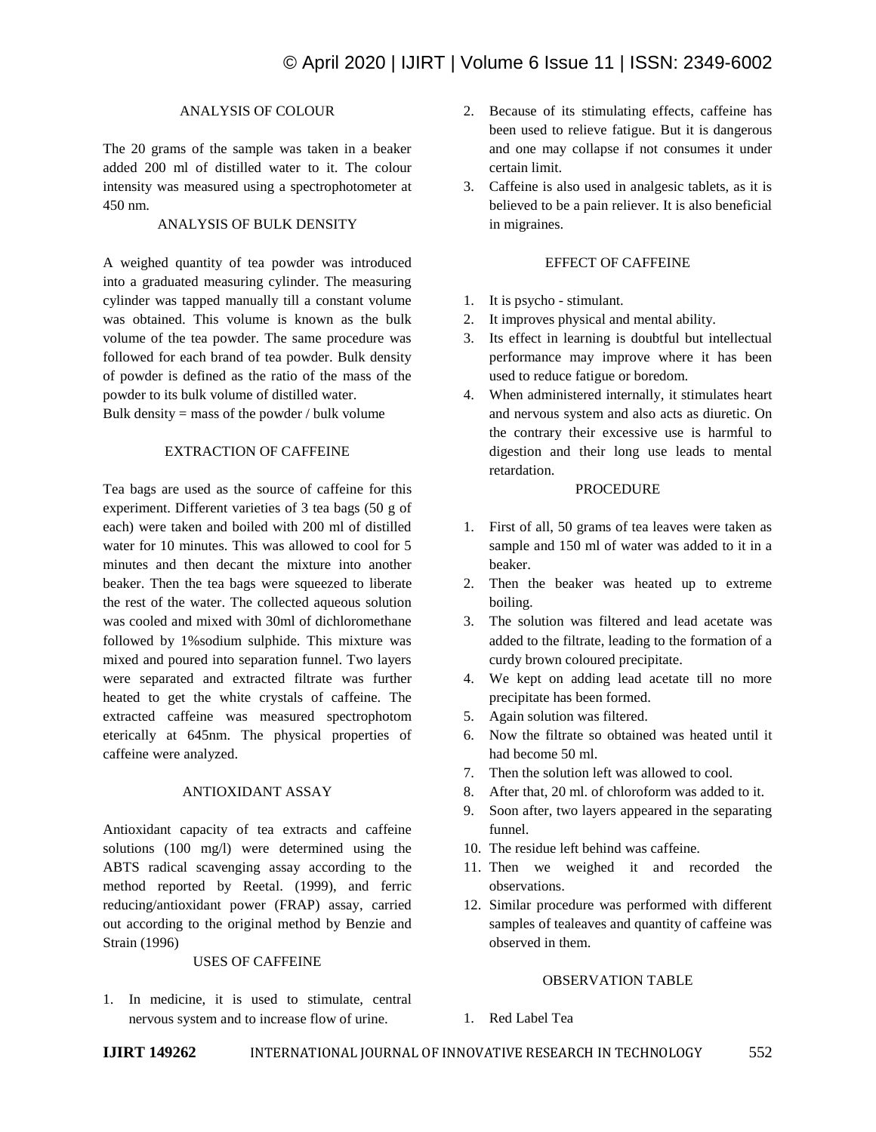# ANALYSIS OF COLOUR

The 20 grams of the sample was taken in a beaker added 200 ml of distilled water to it. The colour intensity was measured using a spectrophotometer at 450 nm.

# ANALYSIS OF BULK DENSITY

A weighed quantity of tea powder was introduced into a graduated measuring cylinder. The measuring cylinder was tapped manually till a constant volume was obtained. This volume is known as the bulk volume of the tea powder. The same procedure was followed for each brand of tea powder. Bulk density of powder is defined as the ratio of the mass of the powder to its bulk volume of distilled water. Bulk density  $=$  mass of the powder / bulk volume

## EXTRACTION OF CAFFEINE

Tea bags are used as the source of caffeine for this experiment. Different varieties of 3 tea bags (50 g of each) were taken and boiled with 200 ml of distilled water for 10 minutes. This was allowed to cool for 5 minutes and then decant the mixture into another beaker. Then the tea bags were squeezed to liberate the rest of the water. The collected aqueous solution was cooled and mixed with 30ml of dichloromethane followed by 1%sodium sulphide. This mixture was mixed and poured into separation funnel. Two layers were separated and extracted filtrate was further heated to get the white crystals of caffeine. The extracted caffeine was measured spectrophotom eterically at 645nm. The physical properties of caffeine were analyzed.

#### ANTIOXIDANT ASSAY

Antioxidant capacity of tea extracts and caffeine solutions (100 mg/l) were determined using the ABTS radical scavenging assay according to the method reported by Reetal. (1999), and ferric reducing/antioxidant power (FRAP) assay, carried out according to the original method by Benzie and Strain (1996)

#### USES OF CAFFEINE

1. In medicine, it is used to stimulate, central nervous system and to increase flow of urine.

- 2. Because of its stimulating effects, caffeine has been used to relieve fatigue. But it is dangerous and one may collapse if not consumes it under certain limit.
- 3. Caffeine is also used in analgesic tablets, as it is believed to be a pain reliever. It is also beneficial in migraines.

#### EFFECT OF CAFFEINE

- 1. It is psycho stimulant.
- 2. It improves physical and mental ability.
- 3. Its effect in learning is doubtful but intellectual performance may improve where it has been used to reduce fatigue or boredom.
- 4. When administered internally, it stimulates heart and nervous system and also acts as diuretic. On the contrary their excessive use is harmful to digestion and their long use leads to mental retardation.

#### PROCEDURE

- 1. First of all, 50 grams of tea leaves were taken as sample and 150 ml of water was added to it in a beaker.
- 2. Then the beaker was heated up to extreme boiling.
- 3. The solution was filtered and lead acetate was added to the filtrate, leading to the formation of a curdy brown coloured precipitate.
- 4. We kept on adding lead acetate till no more precipitate has been formed.
- 5. Again solution was filtered.
- 6. Now the filtrate so obtained was heated until it had become 50 ml.
- 7. Then the solution left was allowed to cool.
- 8. After that, 20 ml. of chloroform was added to it.
- 9. Soon after, two layers appeared in the separating funnel.
- 10. The residue left behind was caffeine.
- 11. Then we weighed it and recorded the observations.
- 12. Similar procedure was performed with different samples of tealeaves and quantity of caffeine was observed in them.

#### OBSERVATION TABLE

1. Red Label Tea